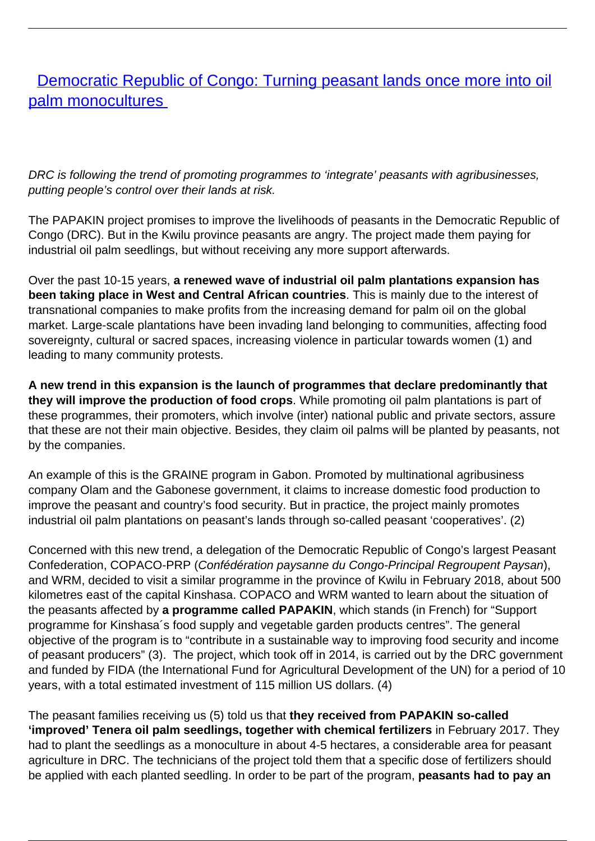# **[Democratic Republic of Congo: Turning peasant lands once more into oil](/bulletin-articles/democratic-republic-of-congo-turning-peasant-lands-once-more-into-oil-palm-monocultures)** [palm monocultures](/bulletin-articles/democratic-republic-of-congo-turning-peasant-lands-once-more-into-oil-palm-monocultures)

DRC is following the trend of promoting programmes to 'integrate' peasants with agribusinesses, putting people's control over their lands at risk.

The PAPAKIN project promises to improve the livelihoods of peasants in the Democratic Republic of Congo (DRC). But in the Kwilu province peasants are angry. The project made them paying for industrial oil palm seedlings, but without receiving any more support afterwards.

Over the past 10-15 years, **a renewed wave of industrial oil palm plantations expansion has been taking place in West and Central African countries**. This is mainly due to the interest of transnational companies to make profits from the increasing demand for palm oil on the global market. Large-scale plantations have been invading land belonging to communities, affecting food sovereignty, cultural or sacred spaces, increasing violence in particular towards women (1) and leading to many community protests.

**A new trend in this expansion is the launch of programmes that declare predominantly that they will improve the production of food crops**. While promoting oil palm plantations is part of these programmes, their promoters, which involve (inter) national public and private sectors, assure that these are not their main objective. Besides, they claim oil palms will be planted by peasants, not by the companies.

An example of this is the GRAINE program in Gabon. Promoted by multinational agribusiness company Olam and the Gabonese government, it claims to increase domestic food production to improve the peasant and country's food security. But in practice, the project mainly promotes industrial oil palm plantations on peasant's lands through so-called peasant 'cooperatives'. (2)

Concerned with this new trend, a delegation of the Democratic Republic of Congo's largest Peasant Confederation, COPACO-PRP (Confédération paysanne du Congo-Principal Regroupent Paysan), and WRM, decided to visit a similar programme in the province of Kwilu in February 2018, about 500 kilometres east of the capital Kinshasa. COPACO and WRM wanted to learn about the situation of the peasants affected by **a programme called PAPAKIN**, which stands (in French) for "Support programme for Kinshasa´s food supply and vegetable garden products centres". The general objective of the program is to "contribute in a sustainable way to improving food security and income of peasant producers" (3). The project, which took off in 2014, is carried out by the DRC government and funded by FIDA (the International Fund for Agricultural Development of the UN) for a period of 10 years, with a total estimated investment of 115 million US dollars. (4)

The peasant families receiving us (5) told us that **they received from PAPAKIN so-called 'improved' Tenera oil palm seedlings, together with chemical fertilizers** in February 2017. They had to plant the seedlings as a monoculture in about 4-5 hectares, a considerable area for peasant agriculture in DRC. The technicians of the project told them that a specific dose of fertilizers should be applied with each planted seedling. In order to be part of the program, **peasants had to pay an**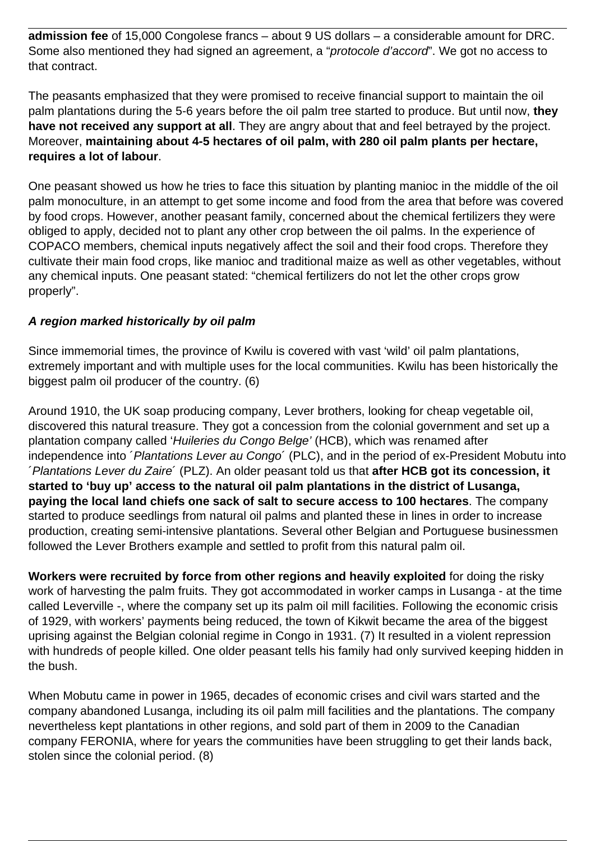**admission fee** of 15,000 Congolese francs – about 9 US dollars – a considerable amount for DRC. Some also mentioned they had signed an agreement, a "protocole d'accord". We got no access to that contract.

The peasants emphasized that they were promised to receive financial support to maintain the oil palm plantations during the 5-6 years before the oil palm tree started to produce. But until now, **they have not received any support at all**. They are angry about that and feel betrayed by the project. Moreover, **maintaining about 4-5 hectares of oil palm, with 280 oil palm plants per hectare, requires a lot of labour**.

One peasant showed us how he tries to face this situation by planting manioc in the middle of the oil palm monoculture, in an attempt to get some income and food from the area that before was covered by food crops. However, another peasant family, concerned about the chemical fertilizers they were obliged to apply, decided not to plant any other crop between the oil palms. In the experience of COPACO members, chemical inputs negatively affect the soil and their food crops. Therefore they cultivate their main food crops, like manioc and traditional maize as well as other vegetables, without any chemical inputs. One peasant stated: "chemical fertilizers do not let the other crops grow properly".

## **A region marked historically by oil palm**

Since immemorial times, the province of Kwilu is covered with vast 'wild' oil palm plantations, extremely important and with multiple uses for the local communities. Kwilu has been historically the biggest palm oil producer of the country. (6)

Around 1910, the UK soap producing company, Lever brothers, looking for cheap vegetable oil, discovered this natural treasure. They got a concession from the colonial government and set up a plantation company called 'Huileries du Congo Belge' (HCB), which was renamed after independence into *'Plantations Lever au Congo'* (PLC), and in the period of ex-President Mobutu into ´Plantations Lever du Zaire´ (PLZ). An older peasant told us that **after HCB got its concession, it started to 'buy up' access to the natural oil palm plantations in the district of Lusanga, paying the local land chiefs one sack of salt to secure access to 100 hectares**. The company started to produce seedlings from natural oil palms and planted these in lines in order to increase production, creating semi-intensive plantations. Several other Belgian and Portuguese businessmen followed the Lever Brothers example and settled to profit from this natural palm oil.

**Workers were recruited by force from other regions and heavily exploited** for doing the risky work of harvesting the palm fruits. They got accommodated in worker camps in Lusanga - at the time called Leverville -, where the company set up its palm oil mill facilities. Following the economic crisis of 1929, with workers' payments being reduced, the town of Kikwit became the area of the biggest uprising against the Belgian colonial regime in Congo in 1931. (7) It resulted in a violent repression with hundreds of people killed. One older peasant tells his family had only survived keeping hidden in the bush.

When Mobutu came in power in 1965, decades of economic crises and civil wars started and the company abandoned Lusanga, including its oil palm mill facilities and the plantations. The company nevertheless kept plantations in other regions, and sold part of them in 2009 to the Canadian company FERONIA, where for years the communities have been struggling to get their lands back, stolen since the colonial period. (8)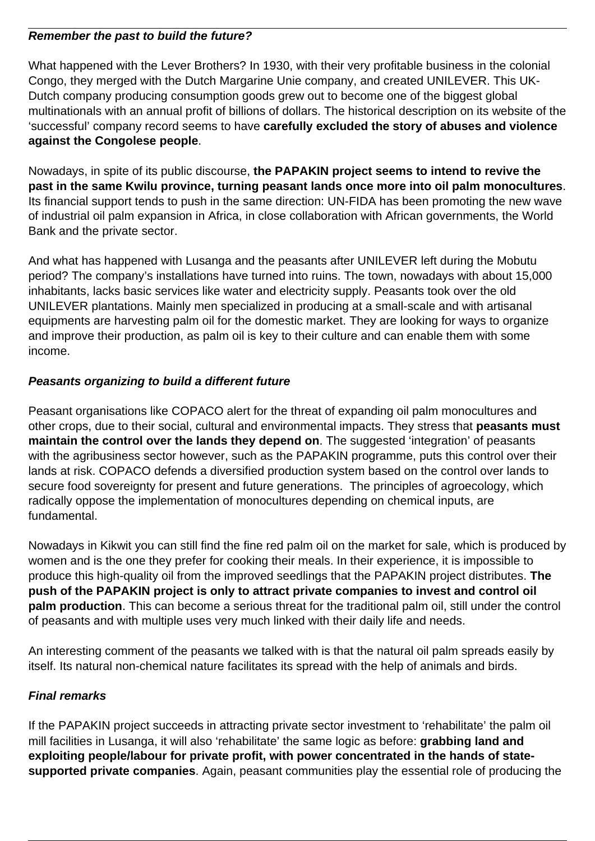#### **Remember the past to build the future?**

What happened with the Lever Brothers? In 1930, with their very profitable business in the colonial Congo, they merged with the Dutch Margarine Unie company, and created UNILEVER. This UK-Dutch company producing consumption goods grew out to become one of the biggest global multinationals with an annual profit of billions of dollars. The historical description on its website of the 'successful' company record seems to have **carefully excluded the story of abuses and violence against the Congolese people**.

Nowadays, in spite of its public discourse, **the PAPAKIN project seems to intend to revive the past in the same Kwilu province, turning peasant lands once more into oil palm monocultures**. Its financial support tends to push in the same direction: UN-FIDA has been promoting the new wave of industrial oil palm expansion in Africa, in close collaboration with African governments, the World Bank and the private sector.

And what has happened with Lusanga and the peasants after UNILEVER left during the Mobutu period? The company's installations have turned into ruins. The town, nowadays with about 15,000 inhabitants, lacks basic services like water and electricity supply. Peasants took over the old UNILEVER plantations. Mainly men specialized in producing at a small-scale and with artisanal equipments are harvesting palm oil for the domestic market. They are looking for ways to organize and improve their production, as palm oil is key to their culture and can enable them with some income.

### **Peasants organizing to build a different future**

Peasant organisations like COPACO alert for the threat of expanding oil palm monocultures and other crops, due to their social, cultural and environmental impacts. They stress that **peasants must maintain the control over the lands they depend on**. The suggested 'integration' of peasants with the agribusiness sector however, such as the PAPAKIN programme, puts this control over their lands at risk. COPACO defends a diversified production system based on the control over lands to secure food sovereignty for present and future generations. The principles of agroecology, which radically oppose the implementation of monocultures depending on chemical inputs, are fundamental.

Nowadays in Kikwit you can still find the fine red palm oil on the market for sale, which is produced by women and is the one they prefer for cooking their meals. In their experience, it is impossible to produce this high-quality oil from the improved seedlings that the PAPAKIN project distributes. **The push of the PAPAKIN project is only to attract private companies to invest and control oil palm production**. This can become a serious threat for the traditional palm oil, still under the control of peasants and with multiple uses very much linked with their daily life and needs.

An interesting comment of the peasants we talked with is that the natural oil palm spreads easily by itself. Its natural non-chemical nature facilitates its spread with the help of animals and birds.

## **Final remarks**

If the PAPAKIN project succeeds in attracting private sector investment to 'rehabilitate' the palm oil mill facilities in Lusanga, it will also 'rehabilitate' the same logic as before: **grabbing land and exploiting people/labour for private profit, with power concentrated in the hands of statesupported private companies**. Again, peasant communities play the essential role of producing the